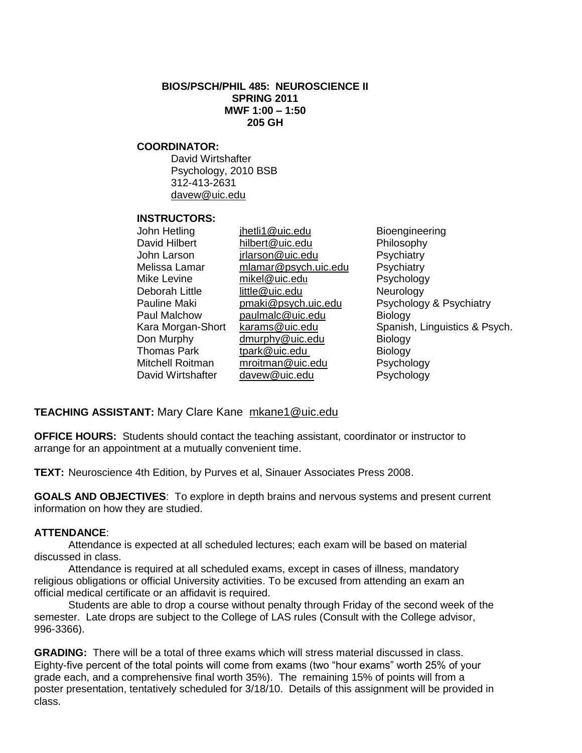### **BIOS/PSCH/PHIL 485: NEUROSCIENCE II SPRING 2011 MWF 1:00 – 1:50 205 GH**

### **COORDINATOR:**

David Wirtshafter Psychology, 2010 BSB 312-413-2631 [davew@uic.edu](mailto:davew@uic.edu)

#### **INSTRUCTORS:**

| John Hetling       |
|--------------------|
| David Hilbert      |
| John Larson        |
| Melissa Lamar      |
| Mike Levine        |
| Deborah Little     |
| Pauline Maki       |
| Paul Malchow       |
| Kara Morgan-Shor   |
| Don Murphy         |
| <b>Thomas Park</b> |
| Mitchell Roitman   |
| David Wirtshafter  |
|                    |

jhetli1@uic.edu Bioengineering hilbert@uic.edu Philosophy jrlarson @uic.edu Psychiatry mlamar@psych.uic.edu Psychiatry mikel@uic.edu Psychology little @uic.edu Neurology paulmalc@uic.edu Biology dmurphy @uic.edu Biology tpark @uic.edu Biology mroitman@uic.edu Psychology davew@uic.edu Psychology

pmaki@psych.uic.edu Psychology & Psychiatry t karams@uic.edu Spanish, Linguistics & Psych.

## **TEACHING ASSISTANT:** Mary Clare Kane mkane1@uic.edu

**OFFICE HOURS:** Students should contact the teaching assistant, coordinator or instructor to arrange for an appointment at a mutually convenient time.

**TEXT:** Neuroscience 4th Edition, by Purves et al, Sinauer Associates Press 2008.

**GOALS AND OBJECTIVES**: To explore in depth brains and nervous systems and present current information on how they are studied.

### **ATTENDANCE**:

Attendance is expected at all scheduled lectures; each exam will be based on material discussed in class.

Attendance is required at all scheduled exams, except in cases of illness, mandatory religious obligations or official University activities. To be excused from attending an exam an official medical certificate or an affidavit is required.

Students are able to drop a course without penalty through Friday of the second week of the semester. Late drops are subject to the College of LAS rules (Consult with the College advisor, 996-3366).

**GRADING:** There will be a total of three exams which will stress material discussed in class. Eighty-five percent of the total points will come from exams (two "hour exams" worth 25% of your grade each, and a comprehensive final worth 35%). The remaining 15% of points will from a poster presentation, tentatively scheduled for 3/18/10. Details of this assignment will be provided in class.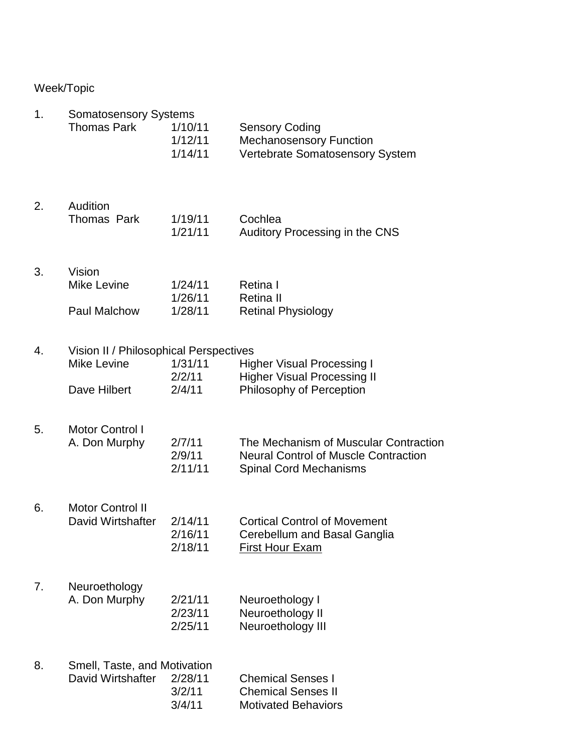# Week/Topic

| 1. | <b>Somatosensory Systems</b>                                                 |                               |                                                                                                                       |
|----|------------------------------------------------------------------------------|-------------------------------|-----------------------------------------------------------------------------------------------------------------------|
|    | <b>Thomas Park</b>                                                           | 1/10/11<br>1/12/11<br>1/14/11 | <b>Sensory Coding</b><br><b>Mechanosensory Function</b><br>Vertebrate Somatosensory System                            |
| 2. | Audition<br><b>Thomas Park</b>                                               | 1/19/11<br>1/21/11            | Cochlea<br>Auditory Processing in the CNS                                                                             |
| 3. | Vision<br><b>Mike Levine</b><br>Paul Malchow                                 | 1/24/11<br>1/26/11<br>1/28/11 | Retina I<br><b>Retina II</b><br><b>Retinal Physiology</b>                                                             |
| 4. | Vision II / Philosophical Perspectives<br><b>Mike Levine</b><br>Dave Hilbert | 1/31/11<br>2/2/11<br>2/4/11   | <b>Higher Visual Processing I</b><br><b>Higher Visual Processing II</b><br>Philosophy of Perception                   |
| 5. | <b>Motor Control I</b><br>A. Don Murphy                                      | 2/7/11<br>2/9/11<br>2/11/11   | The Mechanism of Muscular Contraction<br><b>Neural Control of Muscle Contraction</b><br><b>Spinal Cord Mechanisms</b> |
| 6. | <b>Motor Control II</b><br>David Wirtshafter                                 | 2/14/11<br>2/16/11<br>2/18/11 | <b>Cortical Control of Movement</b><br>Cerebellum and Basal Ganglia<br><b>First Hour Exam</b>                         |
| 7. | Neuroethology<br>A. Don Murphy                                               | 2/21/11<br>2/23/11<br>2/25/11 | Neuroethology I<br>Neuroethology II<br>Neuroethology III                                                              |
| 8. | Smell, Taste, and Motivation<br>David Wirtshafter                            | 2/28/11<br>3/2/11<br>3/4/11   | <b>Chemical Senses I</b><br><b>Chemical Senses II</b><br><b>Motivated Behaviors</b>                                   |